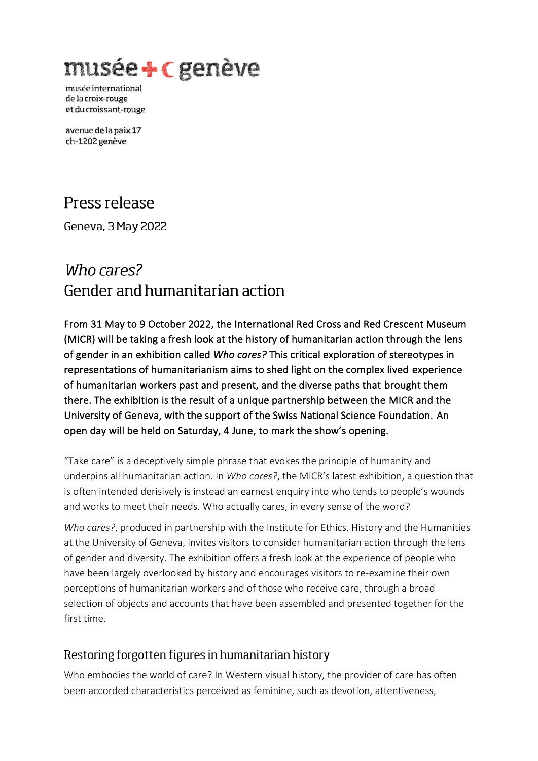musée + c genève

musée international de la croix-rouge et du croissant-rouge

avenue de la paix 17 ch-1202 genève

## Press release

Geneva, 3 May 2022

# Who cares? Gender and humanitarian action

From 31 May to 9 October 2022, the International Red Cross and Red Crescent Museum (MICR) will be taking a fresh look at the history of humanitarian action through the lens of gender in an exhibition called *Who cares?* This critical exploration of stereotypes in representations of humanitarianism aims to shed light on the complex lived experience of humanitarian workers past and present, and the diverse paths that brought them there. The exhibition is the result of a unique partnership between the MICR and the University of Geneva, with the support of the Swiss National Science Foundation. An open day will be held on Saturday, 4 June, to mark the show's opening.

"Take care" is a deceptively simple phrase that evokes the principle of humanity and underpins all humanitarian action. In *Who cares?*, the MICR's latest exhibition, a question that is often intended derisively is instead an earnest enquiry into who tends to people's wounds and works to meet their needs. Who actually cares, in every sense of the word?

*Who cares?*, produced in partnership with the Institute for Ethics, History and the Humanities at the University of Geneva, invites visitors to consider humanitarian action through the lens of gender and diversity. The exhibition offers a fresh look at the experience of people who have been largely overlooked by history and encourages visitors to re-examine their own perceptions of humanitarian workers and of those who receive care, through a broad selection of objects and accounts that have been assembled and presented together for the first time.

## Restoring forgotten figures in humanitarian history

Who embodies the world of care? In Western visual history, the provider of care has often been accorded characteristics perceived as feminine, such as devotion, attentiveness,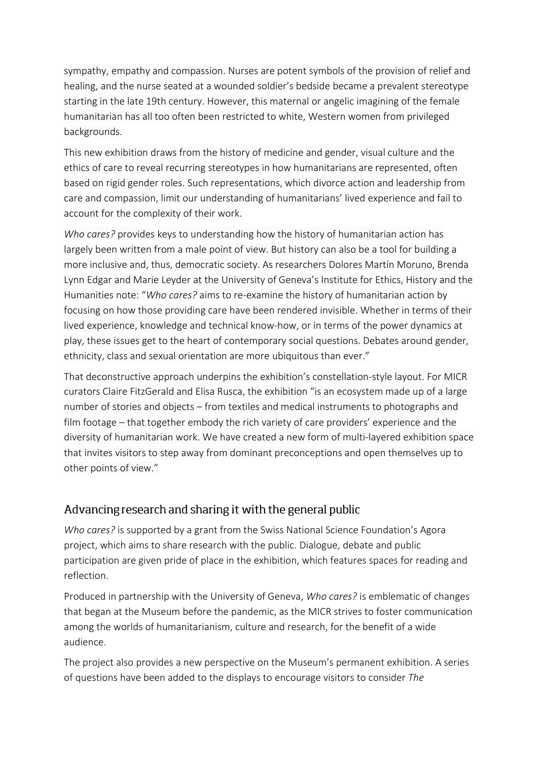sympathy, empathy and compassion. Nurses are potent symbols of the provision of relief and healing, and the nurse seated at a wounded soldier's bedside became a prevalent stereotype starting in the late 19th century. However, this maternal or angelic imagining of the female humanitarian has all too often been restricted to white, Western women from privileged backgrounds.

This new exhibition draws from the history of medicine and gender, visual culture and the ethics of care to reveal recurring stereotypes in how humanitarians are represented, often based on rigid gender roles. Such representations, which divorce action and leadership from care and compassion, limit our understanding of humanitarians' lived experience and fail to account for the complexity of their work.

*Who cares?* provides keys to understanding how the history of humanitarian action has largely been written from a male point of view. But history can also be a tool for building a more inclusive and, thus, democratic society. As researchers Dolores Martín Moruno, Brenda Lynn Edgar and Marie Leyder at the University of Geneva's Institute for Ethics, History and the Humanities note: "*Who cares?* aims to re-examine the history of humanitarian action by focusing on how those providing care have been rendered invisible. Whether in terms of their lived experience, knowledge and technical know-how, or in terms of the power dynamics at play, these issues get to the heart of contemporary social questions. Debates around gender, ethnicity, class and sexual orientation are more ubiquitous than ever."

That deconstructive approach underpins the exhibition's constellation-style layout. For MICR curators Claire FitzGerald and Elisa Rusca, the exhibition "is an ecosystem made up of a large number of stories and objects – from textiles and medical instruments to photographs and film footage – that together embody the rich variety of care providers' experience and the diversity of humanitarian work. We have created a new form of multi-layered exhibition space that invites visitors to step away from dominant preconceptions and open themselves up to other points of view."

## Advancing research and sharing it with the general public

*Who cares?* is supported by a grant from the Swiss National Science Foundation's Agora project, which aims to share research with the public. Dialogue, debate and public participation are given pride of place in the exhibition, which features spaces for reading and reflection.

Produced in partnership with the University of Geneva, *Who cares?* is emblematic of changes that began at the Museum before the pandemic, as the MICR strives to foster communication among the worlds of humanitarianism, culture and research, for the benefit of a wide audience.

The project also provides a new perspective on the Museum's permanent exhibition. A series of questions have been added to the displays to encourage visitors to consider *The*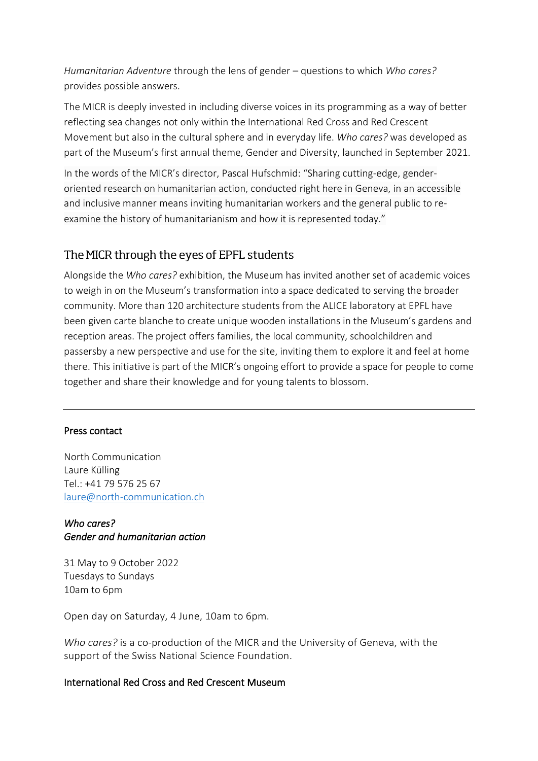*Humanitarian Adventure* through the lens of gender – questions to which *Who cares?* provides possible answers.

The MICR is deeply invested in including diverse voices in its programming as a way of better reflecting sea changes not only within the International Red Cross and Red Crescent Movement but also in the cultural sphere and in everyday life. *Who cares?* was developed as part of the Museum's first annual theme, Gender and Diversity, launched in September 2021.

In the words of the MICR's director, Pascal Hufschmid: "Sharing cutting-edge, genderoriented research on humanitarian action, conducted right here in Geneva, in an accessible and inclusive manner means inviting humanitarian workers and the general public to reexamine the history of humanitarianism and how it is represented today."

## The MICR through the eyes of EPFL students

Alongside the *Who cares?* exhibition, the Museum has invited another set of academic voices to weigh in on the Museum's transformation into a space dedicated to serving the broader community. More than 120 architecture students from the ALICE laboratory at EPFL have been given carte blanche to create unique wooden installations in the Museum's gardens and reception areas. The project offers families, the local community, schoolchildren and passersby a new perspective and use for the site, inviting them to explore it and feel at home there. This initiative is part of the MICR's ongoing effort to provide a space for people to come together and share their knowledge and for young talents to blossom.

#### Press contact

North Communication Laure Külling Tel.: +41 79 576 25 67 [laure@north-communication.ch](mailto:laure@north-communication.ch)

#### *Who cares? Gender and humanitarian action*

31 May to 9 October 2022 Tuesdays to Sundays 10am to 6pm

Open day on Saturday, 4 June, 10am to 6pm.

*Who cares?* is a co-production of the MICR and the University of Geneva, with the support of the Swiss National Science Foundation.

#### International Red Cross and Red Crescent Museum